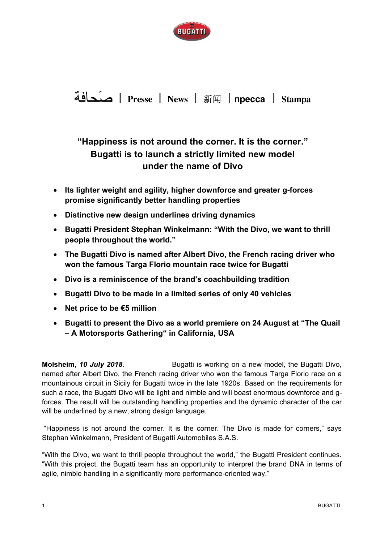

## Presse | News | 新闻 | пресса | Stampa

## **"Happiness is not around the corner. It is the corner." Bugatti is to launch a strictly limited new model under the name of Divo**

- **Its lighter weight and agility, higher downforce and greater g-forces promise significantly better handling properties**
- **Distinctive new design underlines driving dynamics**
- **Bugatti President Stephan Winkelmann: "With the Divo, we want to thrill people throughout the world."**
- **The Bugatti Divo is named after Albert Divo, the French racing driver who won the famous Targa Florio mountain race twice for Bugatti**
- **Divo is a reminiscence of the brand's coachbuilding tradition**
- **Bugatti Divo to be made in a limited series of only 40 vehicles**
- **Net price to be €5 million**
- **Bugatti to present the Divo as a world premiere on 24 August at "The Quail – A Motorsports Gathering" in California, USA**

**Molsheim, 10 July 2018.** Bugatti is working on a new model, the Bugatti Divo, named after Albert Divo, the French racing driver who won the famous Targa Florio race on a mountainous circuit in Sicily for Bugatti twice in the late 1920s. Based on the requirements for such a race, the Bugatti Divo will be light and nimble and will boast enormous downforce and gforces. The result will be outstanding handling properties and the dynamic character of the car will be underlined by a new, strong design language.

 "Happiness is not around the corner. It is the corner. The Divo is made for corners," says Stephan Winkelmann, President of Bugatti Automobiles S.A.S.

"With the Divo, we want to thrill people throughout the world," the Bugatti President continues. "With this project, the Bugatti team has an opportunity to interpret the brand DNA in terms of agile, nimble handling in a significantly more performance-oriented way."